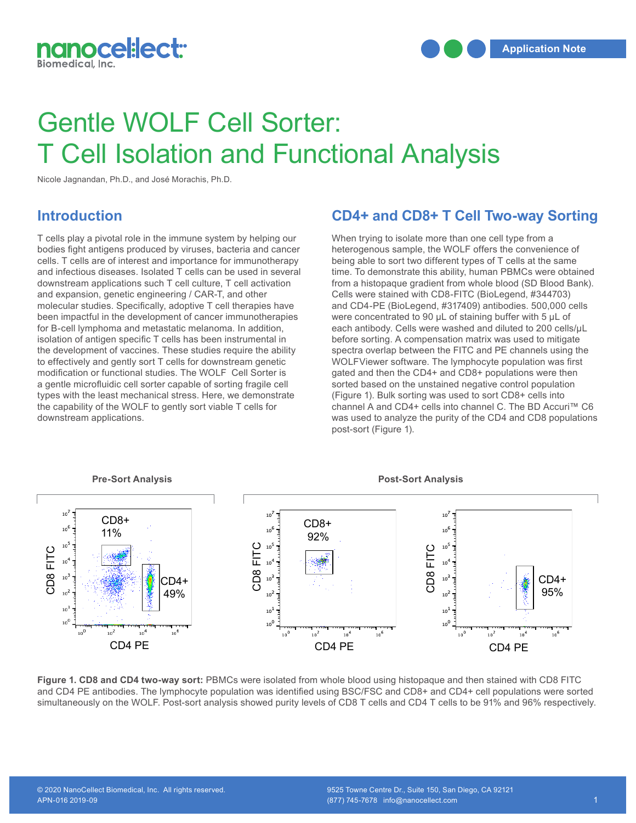

# Gentle WOLF Cell Sorter: T Cell Isolation and Functional Analysis

Nicole Jagnandan, Ph.D., and José Morachis, Ph.D.

### **Introduction**

T cells play a pivotal role in the immune system by helping our bodies fight antigens produced by viruses, bacteria and cancer cells. T cells are of interest and importance for immunotherapy and infectious diseases. Isolated T cells can be used in several downstream applications such T cell culture, T cell activation and expansion, genetic engineering / CAR-T, and other molecular studies. Specifically, adoptive T cell therapies have been impactful in the development of cancer immunotherapies for B-cell lymphoma and metastatic melanoma. In addition, for B-cell lymphoma and metastatic melanoma. In addition, each are<br>isolation of antigen specific T cells has been instrumental in the before strategy of the construction of the construction of the construction of the const the development of vaccines. These studies require the ability to effectively and gently sort T cells for downstream genetic modification or functional studies. The WOLF Cell Sorter is a gentle microfluidic cell sorter capable of sorting fragile cell types with the least mechanical stress. Here, we demonstrate the capability of the WOLF to gently sort viable T cells for downstream applications.

### **CD4+ and CD8+ T Cell Two-way Sorting**

When trying to isolate more than one cell type from a heterogenous sample, the WOLF offers the convenience of being able to sort two different types of T cells at the same time. To demonstrate this ability, human PBMCs were obtained from a histopaque gradient from whole blood (SD Blood Bank). Cells were stained with CD8-FITC (BioLegend, #344703) and CD4-PE (BioLegend, #317409) antibodies. 500,000 cells were concentrated to 90 μL of staining buffer with 5 μL of each antibody. Cells were washed and diluted to 200 cells/μL before sorting. A compensation matrix was used to mitigate spectra overlap between the FITC and PE channels using the WOLFViewer software. The lymphocyte population was first gated and then the CD4+ and CD8+ populations were then sorted based on the unstained negative control population (Figure 1). Bulk sorting was used to sort CD8+ cells into channel A and CD4+ cells into channel C. The BD Accuri™ C6 was used to analyze the purity of the CD4 and CD8 populations post-sort (Figure 1). downstream applications.<br>post-sort (Figure 1). downstream applications.<br>post-sort (Figure 1). downstream applications.<br>post-sort (Figure 1).



**Figure 1. CD8 and CD4 two-way sort:** PBMCs were isolated from whole blood using histopaque and then stained with CD8 FITC and CD4 PE antibodies. The lymphocyte population was identified using BSC/FSC and CD8+ and CD4+ cell populations were sorted simultaneously on the WOLF. Post-sort analysis showed purity levels of CD8 T cells and CD4 T cells to be 91% and 96% respectively.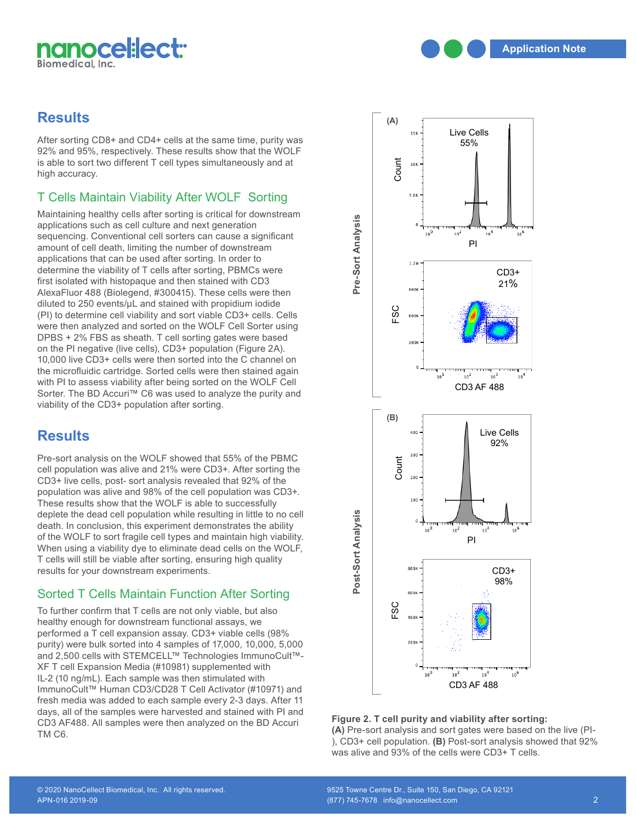

### **Results**

After sorting CD8+ and CD4+ cells at the same time, purity was 92% and 95%, respectively. These results show that the WOLF is able to sort two different T cell types simultaneously and at high accuracy.

## T Cells Maintain Viability After WOLF Sorting

Maintaining healthy cells after sorting is critical for downstream applications such as cell culture and next generation sequencing. Conventional cell sorters can cause a significant amount of cell death, limiting the number of downstream amount of cell death, limiting the number of downstrea<br>applications that can be used after sorting. In order to determine the viability of T cells after sorting, PBMCs were first isolated with histopaque and then stained with CD3 AlexaFluor 488 (Biolegend, #300415). These cells were then diluted to 250 events/μL and stained with propidium iodide diluted to 250 events/µL and stained with propidium iodide<br>(PI) to determine cell viability and sort viable CD3+ cells. Cells were then analyzed and sorted on the WOLF Cell Sorter using were then analyzed and sorted on the WOLF Cell Sorter using<br>DPBS + 2% FBS as sheath. T cell sorting gates were based on the PI negative (live cells), CD3+ population (Figure 2A). 10,000 live CD3+ cells were then sorted into the C channel on the microfluidic cartridge. Sorted cells were then stained again with PI to assess viability after being sorted on the WOLF Cell Sorter. The BD Accuri™ C6 was used to analyze the purity and Sorter. The BD Accuri<sup>™</sup> C6 was used to analyze the purity and viability of the CD3+ population after sorting. B.

### **Results**

Pre-sort analysis on the WOLF showed that 55% of the PBMC ric-sort analysis on the week showed that 33% of the FBWO<br>cell population was alive and 21% were CD3+. After sorting the<br>CD3+ live cells, post- sort analysis revealed that 92% of the CD3+ live cells, post- sort analysis revealed that 92% of the population was alive and 98% of the cell population was CD3+. These results show that the WOLF is able to successfully deplete the dead cell population while resulting in little to no cell death. In conclusion, this experiment demonstrates the ability of the WOLF to sort fragile cell types and maintain high viability. When using a viability dye to eliminate dead cells on the WOLF, T cells will still be viable after sorting, ensuring high quality **3** B. results for your downstream experiments.

### Sorted T Cells Maintain Function After Sorting

To further confirm that T cells are not only viable, but also<br>healthy enough for downstream functional assays, we healthy enough for downstream functional assays, we performed a T cell expansion assay. CD3+ viable cells (98% purity) were bulk sorted into 4 samples of 17,000, 10,000, 5,000 and 2,500 cells with STEMCELL™ Technologies ImmunoCult™- XF T cell Expansion Media (#10981) supplemented with IL-2 (10 ng/mL). Each sample was then stimulated with ImmunoCult™ Human CD3/CD28 T Cell Activator (#10971) and fresh media was added to each sample every 2-3 days. After 11 days, all of the samples were harvested and stained with PI and CD3 AF488. All samples were then analyzed on the BD Accuri TM C6.



#### **Figure 2. T cell purity and viability after sorting:**

**(A)** Pre-sort analysis and sort gates were based on the live (PI- ), CD3+ cell population. **(B)** Post-sort analysis showed that 92% was alive and 93% of the cells were CD3+ T cells.